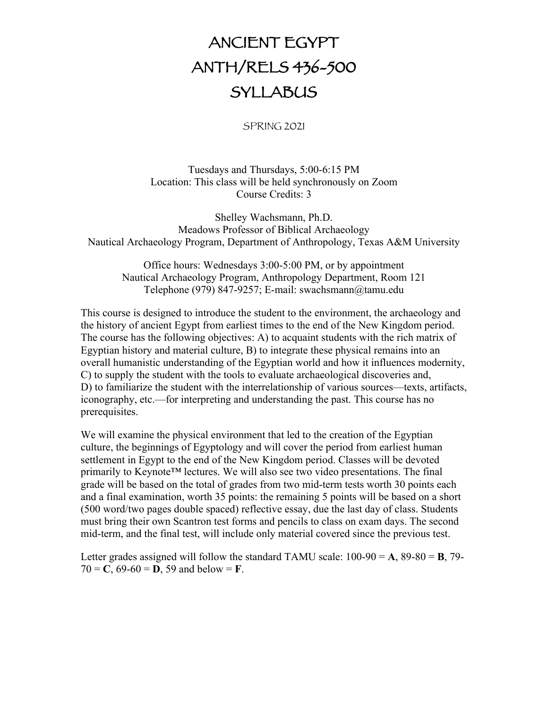# ANCIENT EGYPT ANTH/RELS 436-500 **SYLLABUS**

SPRING 2021

Tuesdays and Thursdays, 5:00-6:15 PM Location: This class will be held synchronously on Zoom Course Credits: 3

Shelley Wachsmann, Ph.D. Meadows Professor of Biblical Archaeology Nautical Archaeology Program, Department of Anthropology, Texas A&M University

Office hours: Wednesdays 3:00-5:00 PM, or by appointment Nautical Archaeology Program, Anthropology Department, Room 121 Telephone (979) 847-9257; E-mail: swachsmann@tamu.edu

This course is designed to introduce the student to the environment, the archaeology and the history of ancient Egypt from earliest times to the end of the New Kingdom period. The course has the following objectives: A) to acquaint students with the rich matrix of Egyptian history and material culture, B) to integrate these physical remains into an overall humanistic understanding of the Egyptian world and how it influences modernity, C) to supply the student with the tools to evaluate archaeological discoveries and, D) to familiarize the student with the interrelationship of various sources—texts, artifacts, iconography, etc.—for interpreting and understanding the past. This course has no prerequisites.

We will examine the physical environment that led to the creation of the Egyptian culture, the beginnings of Egyptology and will cover the period from earliest human settlement in Egypt to the end of the New Kingdom period. Classes will be devoted primarily to Keynote™ lectures. We will also see two video presentations. The final grade will be based on the total of grades from two mid-term tests worth 30 points each and a final examination, worth 35 points: the remaining 5 points will be based on a short (500 word/two pages double spaced) reflective essay, due the last day of class. Students must bring their own Scantron test forms and pencils to class on exam days. The second mid-term, and the final test, will include only material covered since the previous test.

Letter grades assigned will follow the standard TAMU scale:  $100-90 = A$ ,  $89-80 = B$ ,  $79 70 = C$ ,  $69-60 = D$ ,  $59$  and below = **F**.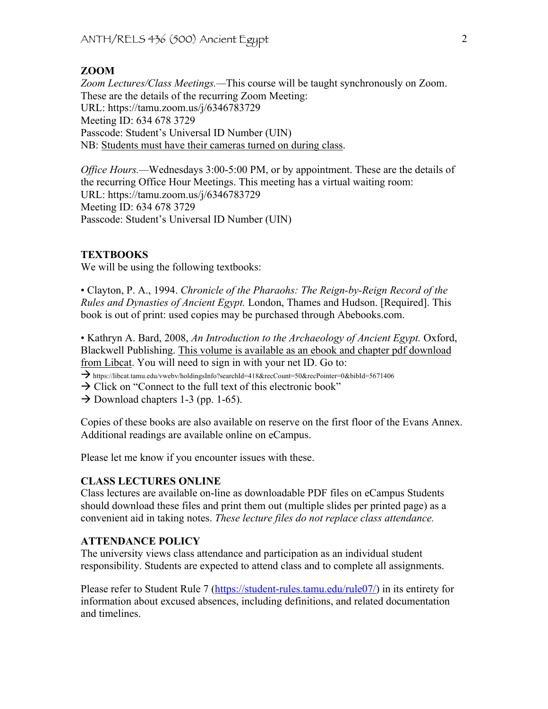# **ZOOM**

*Zoom Lectures/Class Meetings.—*This course will be taught synchronously on Zoom. These are the details of the recurring Zoom Meeting: URL: https://tamu.zoom.us/j/6346783729 Meeting ID: 634 678 3729 Passcode: Student's Universal ID Number (UIN) NB: Students must have their cameras turned on during class.

*Office Hours.*—Wednesdays 3:00-5:00 PM, or by appointment. These are the details of the recurring Office Hour Meetings. This meeting has a virtual waiting room: URL: https://tamu.zoom.us/j/6346783729 Meeting ID: 634 678 3729 Passcode: Student's Universal ID Number (UIN)

## **TEXTBOOKS**

We will be using the following textbooks:

• Clayton, P. A., 1994. *Chronicle of the Pharaohs: The Reign-by-Reign Record of the Rules and Dynasties of Ancient Egypt.* London, Thames and Hudson. [Required]. This book is out of print: used copies may be purchased through Abebooks.com.

• Kathryn A. Bard, 2008, *An Introduction to the Archaeology of Ancient Egypt.* Oxford, Blackwell Publishing. This volume is available as an ebook and chapter pdf download from Libcat. You will need to sign in with your net ID. Go to:

- à https://libcat.tamu.edu/vwebv/holdingsInfo?searchId=418&recCount=50&recPointer=0&bibId=5671406
- $\rightarrow$  Click on "Connect to the full text of this electronic book"
- $\rightarrow$  Download chapters 1-3 (pp. 1-65).

Copies of these books are also available on reserve on the first floor of the Evans Annex. Additional readings are available online on eCampus.

Please let me know if you encounter issues with these.

#### **CLASS LECTURES ONLINE**

Class lectures are available on-line as downloadable PDF files on eCampus Students should download these files and print them out (multiple slides per printed page) as a convenient aid in taking notes. *These lecture files do not replace class attendance.*

#### **ATTENDANCE POLICY**

The university views class attendance and participation as an individual student responsibility. Students are expected to attend class and to complete all assignments.

Please refer to Student Rule 7 (https://student-rules.tamu.edu/rule07/) in its entirety for information about excused absences, including definitions, and related documentation and timelines.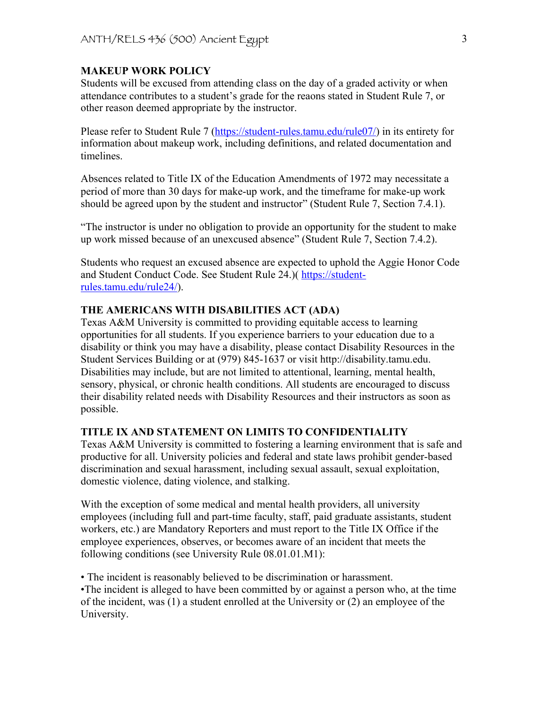## **MAKEUP WORK POLICY**

Students will be excused from attending class on the day of a graded activity or when attendance contributes to a student's grade for the reaons stated in Student Rule 7, or other reason deemed appropriate by the instructor.

Please refer to Student Rule 7 (https://student-rules.tamu.edu/rule07/) in its entirety for information about makeup work, including definitions, and related documentation and timelines.

Absences related to Title IX of the Education Amendments of 1972 may necessitate a period of more than 30 days for make-up work, and the timeframe for make-up work should be agreed upon by the student and instructor" (Student Rule 7, Section 7.4.1).

"The instructor is under no obligation to provide an opportunity for the student to make up work missed because of an unexcused absence" (Student Rule 7, Section 7.4.2).

Students who request an excused absence are expected to uphold the Aggie Honor Code and Student Conduct Code. See Student Rule 24.)( https://studentrules.tamu.edu/rule24/).

# **THE AMERICANS WITH DISABILITIES ACT (ADA)**

Texas A&M University is committed to providing equitable access to learning opportunities for all students. If you experience barriers to your education due to a disability or think you may have a disability, please contact Disability Resources in the Student Services Building or at (979) 845-1637 or visit http://disability.tamu.edu. Disabilities may include, but are not limited to attentional, learning, mental health, sensory, physical, or chronic health conditions. All students are encouraged to discuss their disability related needs with Disability Resources and their instructors as soon as possible.

## **TITLE IX AND STATEMENT ON LIMITS TO CONFIDENTIALITY**

Texas A&M University is committed to fostering a learning environment that is safe and productive for all. University policies and federal and state laws prohibit gender-based discrimination and sexual harassment, including sexual assault, sexual exploitation, domestic violence, dating violence, and stalking.

With the exception of some medical and mental health providers, all university employees (including full and part-time faculty, staff, paid graduate assistants, student workers, etc.) are Mandatory Reporters and must report to the Title IX Office if the employee experiences, observes, or becomes aware of an incident that meets the following conditions (see University Rule 08.01.01.M1):

• The incident is reasonably believed to be discrimination or harassment. •The incident is alleged to have been committed by or against a person who, at the time of the incident, was (1) a student enrolled at the University or (2) an employee of the University.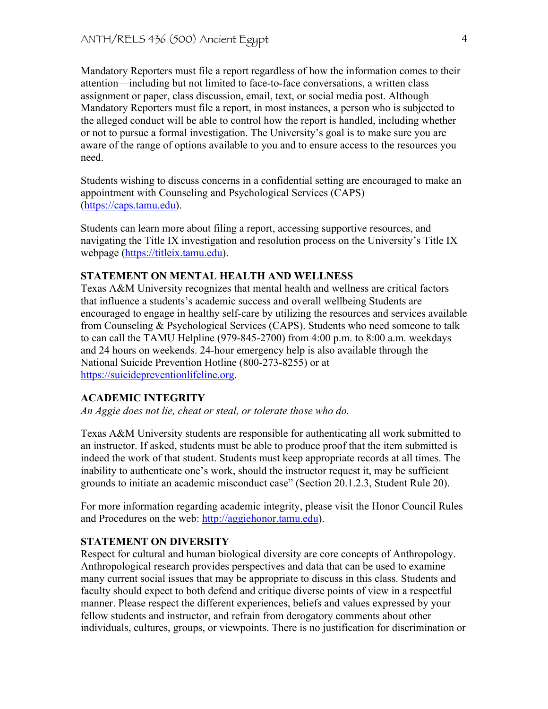Mandatory Reporters must file a report regardless of how the information comes to their attention—including but not limited to face-to-face conversations, a written class assignment or paper, class discussion, email, text, or social media post. Although Mandatory Reporters must file a report, in most instances, a person who is subjected to the alleged conduct will be able to control how the report is handled, including whether or not to pursue a formal investigation. The University's goal is to make sure you are aware of the range of options available to you and to ensure access to the resources you need.

Students wishing to discuss concerns in a confidential setting are encouraged to make an appointment with Counseling and Psychological Services (CAPS) (https://caps.tamu.edu).

Students can learn more about filing a report, accessing supportive resources, and navigating the Title IX investigation and resolution process on the University's Title IX webpage (https://titleix.tamu.edu).

## **STATEMENT ON MENTAL HEALTH AND WELLNESS**

Texas A&M University recognizes that mental health and wellness are critical factors that influence a students's academic success and overall wellbeing Students are encouraged to engage in healthy self-care by utilizing the resources and services available from Counseling & Psychological Services (CAPS). Students who need someone to talk to can call the TAMU Helpline (979-845-2700) from 4:00 p.m. to 8:00 a.m. weekdays and 24 hours on weekends. 24-hour emergency help is also available through the National Suicide Prevention Hotline (800-273-8255) or at https://suicidepreventionlifeline.org.

## **ACADEMIC INTEGRITY**

*An Aggie does not lie, cheat or steal, or tolerate those who do.*

Texas A&M University students are responsible for authenticating all work submitted to an instructor. If asked, students must be able to produce proof that the item submitted is indeed the work of that student. Students must keep appropriate records at all times. The inability to authenticate one's work, should the instructor request it, may be sufficient grounds to initiate an academic misconduct case" (Section 20.1.2.3, Student Rule 20).

For more information regarding academic integrity, please visit the Honor Council Rules and Procedures on the web: http://aggiehonor.tamu.edu).

## **STATEMENT ON DIVERSITY**

Respect for cultural and human biological diversity are core concepts of Anthropology. Anthropological research provides perspectives and data that can be used to examine many current social issues that may be appropriate to discuss in this class. Students and faculty should expect to both defend and critique diverse points of view in a respectful manner. Please respect the different experiences, beliefs and values expressed by your fellow students and instructor, and refrain from derogatory comments about other individuals, cultures, groups, or viewpoints. There is no justification for discrimination or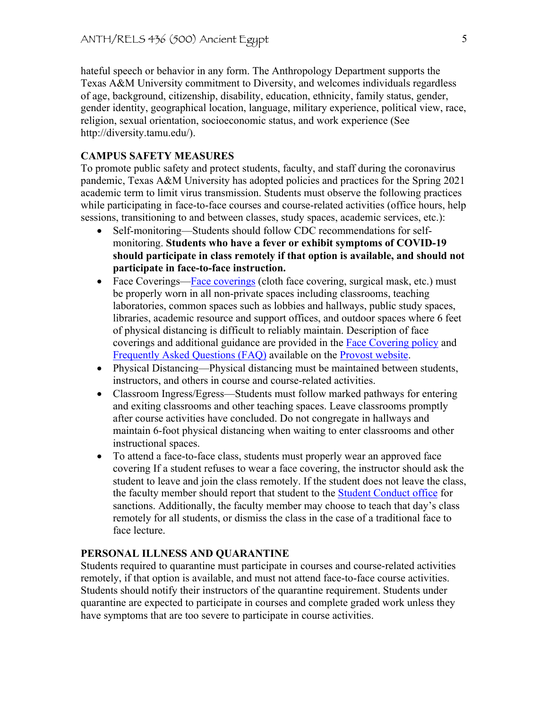hateful speech or behavior in any form. The Anthropology Department supports the Texas A&M University commitment to Diversity, and welcomes individuals regardless of age, background, citizenship, disability, education, ethnicity, family status, gender, gender identity, geographical location, language, military experience, political view, race, religion, sexual orientation, socioeconomic status, and work experience (See http://diversity.tamu.edu/).

# **CAMPUS SAFETY MEASURES**

To promote public safety and protect students, faculty, and staff during the coronavirus pandemic, Texas A&M University has adopted policies and practices for the Spring 2021 academic term to limit virus transmission. Students must observe the following practices while participating in face-to-face courses and course-related activities (office hours, help sessions, transitioning to and between classes, study spaces, academic services, etc.):

- Self-monitoring—Students should follow CDC recommendations for selfmonitoring. **Students who have a fever or exhibit symptoms of COVID-19 should participate in class remotely if that option is available, and should not participate in face-to-face instruction.**
- Face Coverings—Face coverings (cloth face covering, surgical mask, etc.) must be properly worn in all non-private spaces including classrooms, teaching laboratories, common spaces such as lobbies and hallways, public study spaces, libraries, academic resource and support offices, and outdoor spaces where 6 feet of physical distancing is difficult to reliably maintain. Description of face coverings and additional guidance are provided in the Face Covering policy and Frequently Asked Questions (FAQ) available on the Provost website.
- Physical Distancing—Physical distancing must be maintained between students, instructors, and others in course and course-related activities.
- Classroom Ingress/Egress—Students must follow marked pathways for entering and exiting classrooms and other teaching spaces. Leave classrooms promptly after course activities have concluded. Do not congregate in hallways and maintain 6-foot physical distancing when waiting to enter classrooms and other instructional spaces.
- To attend a face-to-face class, students must properly wear an approved face covering If a student refuses to wear a face covering, the instructor should ask the student to leave and join the class remotely. If the student does not leave the class, the faculty member should report that student to the Student Conduct office for sanctions. Additionally, the faculty member may choose to teach that day's class remotely for all students, or dismiss the class in the case of a traditional face to face lecture.

## **PERSONAL ILLNESS AND QUARANTINE**

Students required to quarantine must participate in courses and course-related activities remotely, if that option is available, and must not attend face-to-face course activities. Students should notify their instructors of the quarantine requirement. Students under quarantine are expected to participate in courses and complete graded work unless they have symptoms that are too severe to participate in course activities.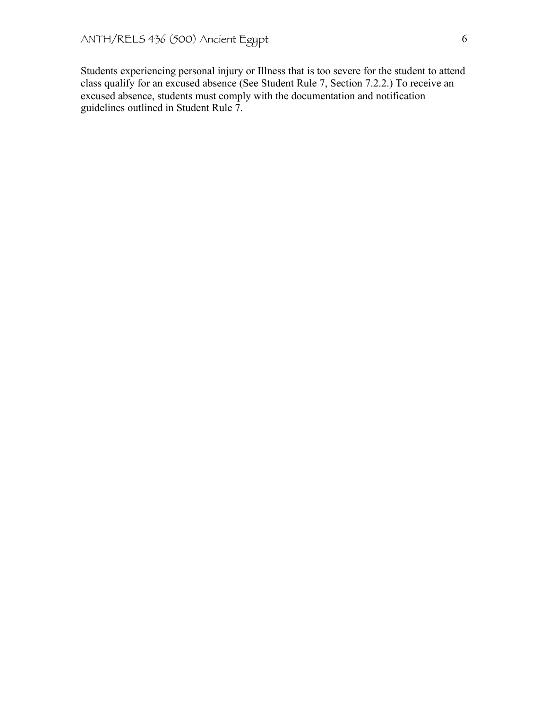Students experiencing personal injury or Illness that is too severe for the student to attend class qualify for an excused absence (See Student Rule 7, Section 7.2.2.) To receive an excused absence, students must comply with the documentation and notification guidelines outlined in Student Rule 7.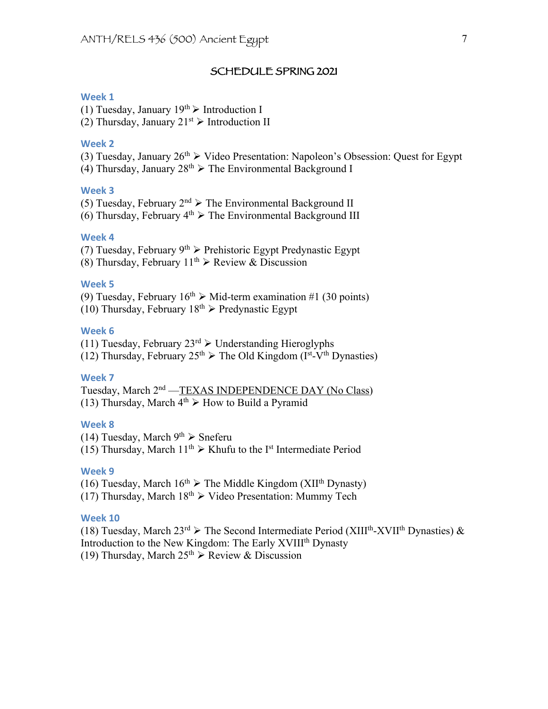#### SCHEDULE SPRING 2021

#### **Week 1**

(1) Tuesday, January  $19^{th}$  > Introduction I

(2) Thursday, January  $21^{st}$   $\triangleright$  Introduction II

#### **Week 2**

(3) Tuesday, January  $26<sup>th</sup>$   $\triangleright$  Video Presentation: Napoleon's Obsession: Quest for Egypt (4) Thursday, January  $28<sup>th</sup>$   $\triangleright$  The Environmental Background I

## **Week 3**

(5) Tuesday, February  $2<sup>nd</sup>$  > The Environmental Background II

(6) Thursday, February  $4<sup>th</sup>$   $\triangleright$  The Environmental Background III

# **Week 4**

(7) Tuesday, February  $9^{th}$  > Prehistoric Egypt Predynastic Egypt

(8) Thursday, February  $11^{th}$   $\triangleright$  Review & Discussion

#### **Week 5**

(9) Tuesday, February  $16^{th}$   $\triangleright$  Mid-term examination #1 (30 points) (10) Thursday, February  $18<sup>th</sup>$  Predynastic Egypt

## **Week 6**

(11) Tuesday, February  $23^{rd}$   $\triangleright$  Understanding Hieroglyphs

(12) Thursday, February  $25<sup>th</sup>$   $\triangleright$  The Old Kingdom (I<sup>st</sup>-V<sup>th</sup> Dynasties)

#### **Week 7**

Tuesday, March 2nd —TEXAS INDEPENDENCE DAY (No Class) (13) Thursday, March  $4<sup>th</sup>$   $\triangleright$  How to Build a Pyramid

# **Week 8**

(14) Tuesday, March  $9<sup>th</sup>$   $\triangleright$  Sneferu (15) Thursday, March  $11^{th}$   $\triangleright$  Khufu to the I<sup>st</sup> Intermediate Period

#### **Week 9**

(16) Tuesday, March  $16^{th}$   $\triangleright$  The Middle Kingdom (XII<sup>th</sup> Dynasty)

(17) Thursday, March  $18^{th}$   $\triangleright$  Video Presentation: Mummy Tech

#### **Week 10**

(18) Tuesday, March  $23^{rd}$   $\triangleright$  The Second Intermediate Period (XIII<sup>th</sup>-XVII<sup>th</sup> Dynasties) & Introduction to the New Kingdom: The Early XVIII<sup>th</sup> Dynasty (19) Thursday, March  $25^{th}$   $\triangleright$  Review & Discussion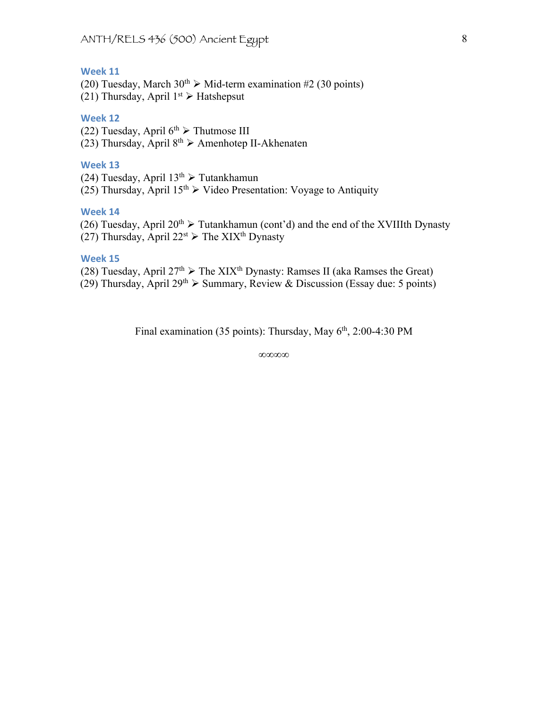# **Week 11**

(20) Tuesday, March  $30^{th}$   $\triangleright$  Mid-term examination #2 (30 points)

(21) Thursday, April  $1^{st}$   $\triangleright$  Hatshepsut

# **Week 12**

(22) Tuesday, April  $6<sup>th</sup>$   $\triangleright$  Thutmose III (23) Thursday, April  $8<sup>th</sup>$   $\triangleright$  Amenhotep II-Akhenaten

## **Week 13**

(24) Tuesday, April  $13^{th}$   $\triangleright$  Tutankhamun

 $(25)$  Thursday, April 15<sup>th</sup>  $\triangleright$  Video Presentation: Voyage to Antiquity

## **Week 14**

(26) Tuesday, April  $20^{th}$   $\triangleright$  Tutankhamun (cont'd) and the end of the XVIIIth Dynasty (27) Thursday, April  $22^{st}$   $\triangleright$  The XIX<sup>th</sup> Dynasty

## **Week 15**

(28) Tuesday, April  $27<sup>th</sup>$   $\triangleright$  The XIX<sup>th</sup> Dynasty: Ramses II (aka Ramses the Great)

(29) Thursday, April 29<sup>th</sup>  $\triangleright$  Summary, Review & Discussion (Essay due: 5 points)

Final examination (35 points): Thursday, May  $6<sup>th</sup>$ , 2:00-4:30 PM

∞∞∞∞